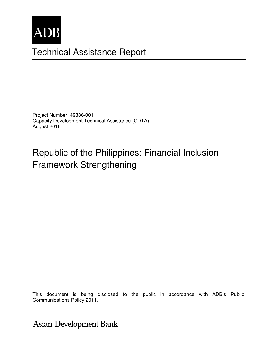

# Technical Assistance Report

Project Number: 49386-001 Capacity Development Technical Assistance (CDTA) August 2016

# Republic of the Philippines: Financial Inclusion Framework Strengthening

Communications Policy 2011. The consultant and do not necessarily represent those of ADB's of ADB's of ADB's of ADB's of ADB's of ADB's of ADB's of ADB's of ADB's of ADB's of ADB's of ADB's of ADB's of ADB's of ADB's of AD This document is being disclosed to the public in accordance with ADB's Public

Asian Development Bank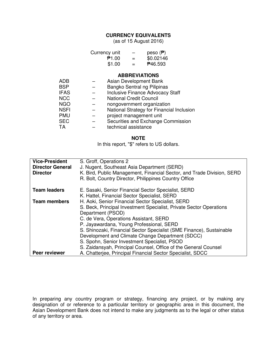#### **CURRENCY EQUIVALENTS**

(as of 15 August 2016)

| Currency unit | -   | peso $(\mathbf{P})$ |
|---------------|-----|---------------------|
| ₱1.00         | $=$ | \$0.02146           |
| \$1.00        | $=$ | <b>P46.593</b>      |

#### **ABBREVIATIONS**

| Asian Development Bank                    |
|-------------------------------------------|
| Bangko Sentral ng Pilipinas               |
| <b>Inclusive Finance Advocacy Staff</b>   |
| <b>National Credit Council</b>            |
| nongovernment organization                |
| National Strategy for Financial Inclusion |
| project management unit                   |
| Securities and Exchange Commission        |
| technical assistance                      |
|                                           |

#### **NOTE**

In this report, "\$" refers to US dollars.

| <b>Vice-President</b><br><b>Director General</b><br><b>Director</b> | S. Groff, Operations 2<br>J. Nugent, Southeast Asia Department (SERD)<br>K. Bird, Public Management, Financial Sector, and Trade Division, SERD<br>R. Bolt, Country Director, Philippines Country Office                                    |
|---------------------------------------------------------------------|---------------------------------------------------------------------------------------------------------------------------------------------------------------------------------------------------------------------------------------------|
| <b>Team leaders</b>                                                 | E. Sasaki, Senior Financial Sector Specialist, SERD<br>K. Hattel, Financial Sector Specialist, SERD                                                                                                                                         |
| <b>Team members</b>                                                 | H. Aoki, Senior Financial Sector Specialist, SERD<br>S. Beck, Principal Investment Specialist, Private Sector Operations<br>Department (PSOD)<br>C. de Vera, Operations Assistant, SERD<br>P. Jayawardana, Young Professional, SERD         |
|                                                                     | S. Shinozaki, Financial Sector Specialist (SME Finance), Sustainable<br>Development and Climate Change Department (SDCC)<br>S. Spohn, Senior Investment Specialist, PSOD<br>S. Zaidansyah, Principal Counsel, Office of the General Counsel |
| Peer reviewer                                                       | A. Chatterjee, Principal Financial Sector Specialist, SDCC                                                                                                                                                                                  |

In preparing any country program or strategy, financing any project, or by making any designation of or reference to a particular territory or geographic area in this document, the Asian Development Bank does not intend to make any judgments as to the legal or other status of any territory or area.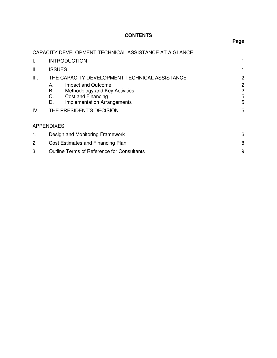# **CONTENTS**

# **Page**

# CAPACITY DEVELOPMENT TECHNICAL ASSISTANCE AT A GLANCE

| I.          | <b>INTRODUCTION</b>                                                                                                                                                                                                   |                            |  |
|-------------|-----------------------------------------------------------------------------------------------------------------------------------------------------------------------------------------------------------------------|----------------------------|--|
| Ш.          | <b>ISSUES</b>                                                                                                                                                                                                         |                            |  |
| III.<br>IV. | THE CAPACITY DEVELOPMENT TECHNICAL ASSISTANCE<br>Impact and Outcome<br>А.<br>В.<br>Methodology and Key Activities<br>C.<br>Cost and Financing<br><b>Implementation Arrangements</b><br>D.<br>THE PRESIDENT'S DECISION | 2<br>2<br>2<br>5<br>5<br>5 |  |
|             | <b>APPENDIXES</b>                                                                                                                                                                                                     |                            |  |
| 1.          | Design and Monitoring Framework<br>6                                                                                                                                                                                  |                            |  |
| 2.          | 8<br>Cost Estimates and Financing Plan                                                                                                                                                                                |                            |  |
| 3.          | 9<br><b>Outline Terms of Reference for Consultants</b>                                                                                                                                                                |                            |  |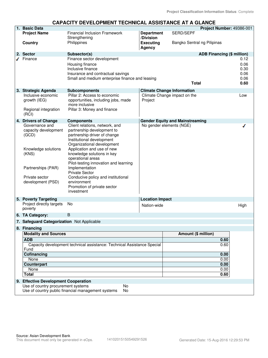#### **CAPACITY DEVELOPMENT TECHNICAL ASSISTANCE AT A GLANCE**

|  | 1. Basic Data                                            |                                                                         |                                |                                        | Project Number: 49386-001         |              |
|--|----------------------------------------------------------|-------------------------------------------------------------------------|--------------------------------|----------------------------------------|-----------------------------------|--------------|
|  | <b>Project Name</b>                                      | <b>Financial Inclusion Framework</b><br>Strengthening                   | <b>Department</b><br>/Division | SERD/SEPF                              |                                   |              |
|  | Country                                                  | Philippines                                                             | <b>Executing</b><br>Agency     | Bangko Sentral ng Pilipinas            |                                   |              |
|  | 2. Sector                                                | Subsector(s)                                                            |                                |                                        | <b>ADB Financing (\$ million)</b> |              |
|  | Finance                                                  | Finance sector development                                              |                                |                                        |                                   | 0.12         |
|  |                                                          | Housing finance                                                         |                                |                                        |                                   | 0.06         |
|  |                                                          | Inclusive finance                                                       |                                |                                        |                                   | 0.30         |
|  |                                                          | Insurance and contractual savings                                       |                                |                                        |                                   | 0.06         |
|  |                                                          | Small and medium enterprise finance and leasing                         |                                | <b>Total</b>                           |                                   | 0.06<br>0.60 |
|  |                                                          |                                                                         |                                |                                        |                                   |              |
|  | 3. Strategic Agenda                                      | <b>Subcomponents</b>                                                    |                                | <b>Climate Change Information</b>      |                                   |              |
|  | Inclusive economic                                       | Pillar 2: Access to economic                                            |                                | Climate Change impact on the           |                                   | Low          |
|  | growth (IEG)                                             | opportunities, including jobs, made                                     | Project                        |                                        |                                   |              |
|  | Regional integration                                     | more inclusive<br>Pillar 3: Money and finance                           |                                |                                        |                                   |              |
|  | (RCI)                                                    |                                                                         |                                |                                        |                                   |              |
|  | 4. Drivers of Change                                     | <b>Components</b>                                                       |                                | <b>Gender Equity and Mainstreaming</b> |                                   |              |
|  | Governance and                                           | Client relations, network, and                                          |                                | No gender elements (NGE)               |                                   |              |
|  | capacity development                                     | partnership development to                                              |                                |                                        |                                   |              |
|  | (GCD)                                                    | partnership driver of change                                            |                                |                                        |                                   |              |
|  |                                                          | Institutional development                                               |                                |                                        |                                   |              |
|  |                                                          | Organizational development                                              |                                |                                        |                                   |              |
|  | Knowledge solutions<br>(KNS)                             | Application and use of new<br>knowledge solutions in key                |                                |                                        |                                   |              |
|  |                                                          | operational areas                                                       |                                |                                        |                                   |              |
|  |                                                          | Pilot-testing innovation and learning                                   |                                |                                        |                                   |              |
|  | Partnerships (PAR)                                       | Implementation                                                          |                                |                                        |                                   |              |
|  |                                                          | <b>Private Sector</b>                                                   |                                |                                        |                                   |              |
|  | Private sector                                           | Conducive policy and institutional                                      |                                |                                        |                                   |              |
|  | development (PSD)                                        | environment<br>Promotion of private sector                              |                                |                                        |                                   |              |
|  |                                                          | investment                                                              |                                |                                        |                                   |              |
|  | 5. Poverty Targeting                                     |                                                                         | <b>Location Impact</b>         |                                        |                                   |              |
|  | Project directly targets                                 | No                                                                      |                                |                                        |                                   |              |
|  | poverty                                                  |                                                                         | Nation-wide                    |                                        |                                   | High         |
|  | 6. TA Category:                                          | B                                                                       |                                |                                        |                                   |              |
|  | 7. Safeguard Categorization Not Applicable               |                                                                         |                                |                                        |                                   |              |
|  | 8. Financing                                             |                                                                         |                                |                                        |                                   |              |
|  | <b>Modality and Sources</b><br><b>ADB</b>                |                                                                         |                                | Amount (\$ million)                    |                                   |              |
|  |                                                          |                                                                         |                                |                                        | 0.60                              |              |
|  |                                                          | Capacity development technical assistance: Technical Assistance Special |                                |                                        | 0.60                              |              |
|  | Fund                                                     |                                                                         |                                |                                        |                                   |              |
|  | Cofinancing<br>None                                      |                                                                         |                                |                                        | 0.00<br>0.00                      |              |
|  | Counterpart                                              |                                                                         |                                |                                        | 0.00                              |              |
|  | None                                                     |                                                                         |                                |                                        | 0.00                              |              |
|  | <b>Total</b>                                             |                                                                         |                                |                                        | 0.60                              |              |
|  | 9. Effective Development Cooperation                     |                                                                         |                                |                                        |                                   |              |
|  | Use of country procurement systems                       | No                                                                      |                                |                                        |                                   |              |
|  | Use of country public financial management systems<br>No |                                                                         |                                |                                        |                                   |              |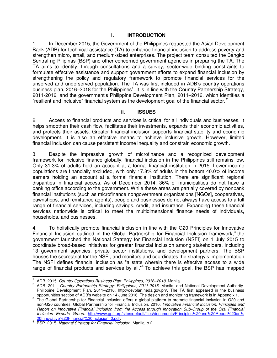#### **I. INTRODUCTION**

1. In December 2015, the Government of the Philippines requested the Asian Development Bank (ADB) for technical assistance (TA) to enhance financial inclusion to address poverty and strengthen micro, small, and medium-sized enterprises. The project team consulted the Bangko Sentral ng Pilipinas (BSP) and other concerned government agencies in preparing the TA. The TA aims to identify, through consultations and a survey, sector-wide binding constraints to formulate effective assistance and support government efforts to expand financial inclusion by strengthening the policy and regulatory framework to promote financial services for the unserved and underserved population. The TA was first included in ADB's country operations business plan, 2016–2018 for the Philippines<sup>1</sup>. It is in line with the Country Partnership Strategy, 2011-2016, and the government's Philippine Development Plan, 2011–2016, which identifies a "resilient and inclusive" financial system as the development goal of the financial sector.<sup>2</sup>

#### **II. ISSUES**

2. Access to financial products and services is critical for all individuals and businesses. It helps smoothen their cash flow, facilitates their investments, expands their economic activities, and protects their assets. Greater financial inclusion supports financial stability and economic development. It is also an effective means to achieve inclusive growth. However, limited financial inclusion can cause persistent income inequality and constrain economic growth.

3. Despite the impressive growth of microfinance and a recognized development framework for inclusive finance globally, financial inclusion in the Philippines still remains low. Only 31.3% of adults held an account at a formal financial institution in 2015. Lower-income populations are financially excluded, with only 17.8% of adults in the bottom 40.0% of income earners holding an account at a formal financial institution. There are significant regional disparities in financial access. As of December 2014, 36% of municipalities do not have a banking office according to the government. While these areas are partially covered by nonbank financial institutions (such as microfinance nongovernment organizations [NGOs], cooperatives, pawnshops, and remittance agents), people and businesses do not always have access to a full range of financial services, including savings, credit, and insurance. Expanding these financial services nationwide is critical to meet the multidimensional finance needs of individuals, households, and businesses.

4. To holistically promote financial inclusion in line with the G20 Principles for Innovative Financial Inclusion outlined in the Global Partnership for Financial Inclusion framework, $3$  the government launched the National Strategy for Financial Inclusion (NSFI) on 1 July 2015 to coordinate broad-based initiatives for greater financial inclusion among stakeholders, including 13 government agencies, private sector institutions, and development partners. The BSP houses the secretariat for the NSFI, and monitors and coordinates the strategy's implementation. The NSFI defines financial inclusion as "a state wherein there is effective access to a wide range of financial products and services by all."<sup>4</sup> To achieve this goal, the BSP has mapped

 $\frac{1}{1}$ ADB. 2015. *Country Operations Business Plan: Philippines, 2016–2018*. Manila.

<sup>2</sup> ADB. 2011. *Country Partnership Strategy: Philippines, 2011-2016*. Manila; and National Development Authority. Philippine Development Plan, 2011–2016. http://devplan.neda.gov.ph/. The TA first appeared in the business

opportunities section of ADB's website on 14 June 2016. The design and monitoring framework is in Appendix 1.<br>The Global Partnership for Financial Inclusion offers a global platform to promote financial inclusion in G20 an non-G20 countries. Global Partnership for Financial Inclusion. 2010. *Innovative Financial Inclusion: Principles and Report on Innovative Financial Inclusion from the Access through Innovation Sub-Group of the G20 Financial Inclusion Experts Group.* [http://www.gpfi.org/sites/default/files/documents/Principles%20and%20Report%20on%](http://www.gpfi.org/sites/default/files/documents/Principles%20and%20Report%20on%20Innovative%20Financial%20Inclusion_0.pdf)  [20Innovative%20Financial%20Inclusion\\_0.pdf.](http://www.gpfi.org/sites/default/files/documents/Principles%20and%20Report%20on%20Innovative%20Financial%20Inclusion_0.pdf)

<sup>4</sup> BSP. 2015. *National Strategy for Financial Inclusion*. Manila. p.2.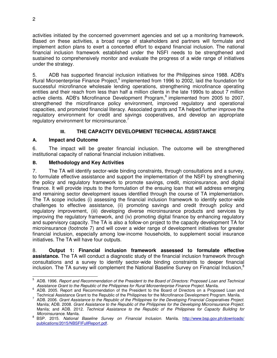activities initiated by the concerned government agencies and set up a monitoring framework. Based on these activities, a broad range of stakeholders and partners will formulate and implement action plans to exert a concerted effort to expand financial inclusion. The national financial inclusion framework established under the NSFI needs to be strengthened and sustained to comprehensively monitor and evaluate the progress of a wide range of initiatives under the strategy.

5. ADB has supported financial inclusion initiatives for the Philippines since 1988. ADB's Rural Microenterprise Finance Project,<sup>5</sup> implemented from 1996 to 2002, laid the foundation for successful microfinance wholesale lending operations, strengthening microfinance operating entities and their reach from less than half a million clients in the late 1990s to about 7 million active clients. ADB's Microfinance Development Program,<sup>6</sup> implemented from 2005 to 2007, strengthened the microfinance policy environment, improved regulatory and operational capacities, and promoted financial literacy. Associated grants and TA helped further improve the regulatory environment for credit and savings cooperatives, and develop an appropriate regulatory environment for microinsurance. $7$ 

# **III. THE CAPACITY DEVELOPMENT TECHNICAL ASSISTANCE**

# **A. Impact and Outcome**

6. The impact will be greater financial inclusion. The outcome will be strengthened institutional capacity of national financial inclusion initiatives.

# **B. Methodology and Key Activities**

7. The TA will identify sector-wide binding constraints, through consultations and a survey, to formulate effective assistance and support the implementation of the NSFI by strengthening the policy and regulatory framework to promote savings, credit, microinsurance, and digital finance. It will provide inputs to the formulation of the ensuing loan that will address emerging and remaining sector development issues identified through the course of TA implementation. The TA scope includes (i) assessing the financial inclusion framework to identify sector-wide challenges to effective assistance, (ii) promoting savings and credit through policy and regulatory improvement, (iii) developing diverse microinsurance products and services by improving the regulatory framework, and (iv) promoting digital finance by enhancing regulatory and supervisory capacity. The TA is also a follow-on project to the capacity development TA for microinsurance (footnote 7) and will cover a wider range of development initiatives for greater financial inclusion, especially among low-income households, to supplement social insurance initiatives. The TA will have four outputs.

8. **Output 1: Financial inclusion framework assessed to formulate effective assistance.** The TA will conduct a diagnostic study of the financial inclusion framework through consultations and a survey to identify sector-wide binding constraints to deeper financial inclusion. The TA survey will complement the National Baseline Survey on Financial Inclusion,<sup>8</sup>

 5 ADB. 1996. *Report and Recommendation of the President to the Board of Directors: Proposed Loan and Technical Assistance Grant to the Republic of the Philippines for Rural Microenterprise Finance Project.* Manila.

<sup>&</sup>lt;sup>6</sup> ADB. 2005. Report and Recommendation of the President to the Board of Directors on a Proposed Loan and

Technical Assistance Grant to the Republic of the Philippines for the Microfinance Development Program. Manila.<br>A DB. 2006. *Grant Assistance to the Republic of the Philippines for the Developing Financial Cooperatives Pro* Manila; ADB. 2008. *Grant Assistance to the Republic of the Philippines for the Developing Microinsurance Project*. Manila; and ADB. 2012. *Technical Assistance to the Republic of the Philippines for Capacity Building for Microinsurance*. Manila.

<sup>&</sup>lt;sup>8</sup> BSP. 2015. *National Baseline Survey on Financial Inclusion. Manila*. http://www.bsp.gov.ph/downloads/ [publications/2015/NBSFIFullReport.pdf.](http://www.bsp.gov.ph/downloads/publications/2015/NBSFIFullReport.pdf)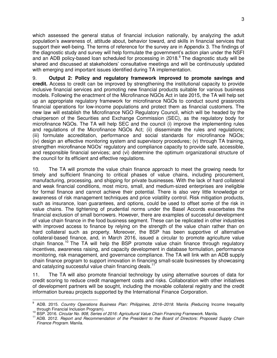which assessed the general status of financial inclusion nationally, by analyzing the adult population's awareness of, attitude about, behavior toward, and skills in financial services that support their well-being. The terms of reference for the survey are in Appendix 3. The findings of the diagnostic study and survey will help formulate the government's action plan under the NSFI and an ADB policy-based loan scheduled for processing in 2018.<sup>9</sup> The diagnostic study will be shared and discussed at stakeholders' consultative meetings and will be continuously updated with emerging and important issues identified during TA implementation.

9. **Output 2: Policy and regulatory framework improved to promote savings and credit.** Access to credit can be improved by strengthening the institutional capacity to provide inclusive financial services and promoting new financial products suitable for various business models. Following the enactment of the Microfinance NGOs Act in late 2015, the TA will help set up an appropriate regulatory framework for microfinance NGOs to conduct sound grassroots financial operations for low-income populations and protect them as financial customers. The new law will establish the Microfinance NGO Regulatory Council, which will be headed by the chairperson of the Securities and Exchange Commission (SEC), as the regulatory body for microfinance NGOs. The TA will help SEC and the council (i) improve the implementing rules and regulations of the Microfinance NGOs Act; (ii) disseminate the rules and regulations; (iii) formulate accreditation, performance and social standards for microfinance NGOs; (iv) design an effective monitoring system and supervisory procedures; (v) through TA training, strengthen microfinance NGOs' regulatory and compliance capacity to provide safe, accessible, and responsible financial services; and (vi) determine the optimum organizational structure of the council for its efficient and effective regulations.

10. The TA will promote the value chain finance approach to meet the growing needs for timely and sufficient financing to critical phases of value chains, including procurement, manufacturing, processing, and shipping for private businesses. With the lack of hard collateral and weak financial conditions, most micro, small, and medium-sized enterprises are ineligible for formal finance and cannot achieve their potential. There is also very little knowledge or awareness of risk management techniques and price volatility control. Risk mitigation products, such as insurance, loan guarantees, and options, could be used to offset some of the risk in value chains. The tightening of prudential norms under the Basel Accords exacerbates the financial exclusion of small borrowers. However, there are examples of successful development of value chain finance in the food business segment. These can be replicated in other industries with improved access to finance by relying on the strength of the value chain rather than on hard collateral such as property. Moreover, the BSP has been supportive of alternative collateral-based finance, and, in March 2016, issued a circular to promote agriculture value chain finance.<sup>10</sup> The TA will help the BSP promote value chain finance through regulatory incentives, awareness raising, and capacity development in database formulation, performance monitoring, risk management, and governance compliance. The TA will link with an ADB supply chain finance program to support innovation in financing small-scale businesses by showcasing and catalyzing successful value chain financing deals.<sup>11</sup>

11. The TA will also promote financial technology by using alternative sources of data for credit scoring to reduce credit management costs and risks. Collaboration with other initiatives of development partners will be sought, including the movable collateral registry and the credit information bureau projects supported by the International Finance Corporation.

 $\overline{a}$ 9 ADB. 2015. *Country Operations Business Plan: Philippines, 2016–2018*. Manila *(*Reducing Income Inequality through Financial Inclusion Program).

<sup>10</sup> BSP. 2016. *Circular No. 908, Series of 2016: Agricultural Value Chain Financing Framework.* Manila.

<sup>11</sup> ADB. 2012. *Report and Recommendation of the President to the Board of Directors: Proposed Supply Chain Finance Program.* Manila.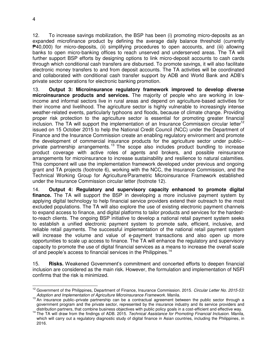12. To increase savings mobilization, the BSP has been (i) promoting micro-deposits as an expanded microfinance product by defining the average daily balance threshold (currently  $\blacktriangleright$ 40,000) for micro-deposits, (ii) simplifying procedures to open accounts, and (iii) allowing banks to open micro-banking offices to reach unserved and underserved areas. The TA will further support BSP efforts by designing options to link micro-deposit accounts to cash cards through which conditional cash transfers are disbursed. To promote savings, it will also facilitate electronic money transfers to and from deposit accounts. The TA activities will be coordinated and collaborated with conditional cash transfer support by ADB and World Bank and ADB's private sector operations for electronic banking promotion.

13. **Output 3: Microinsurance regulatory framework improved to develop diverse microinsurance products and services.** The majority of people who are working in lowincome and informal sectors live in rural areas and depend on agriculture-based activities for their income and livelihood. The agriculture sector is highly vulnerable to increasingly intense weather-related events, particularly typhoons and floods, because of climate change. Providing proper risk protection to the agriculture sector is essential for promoting greater financial inclusion. The TA will support the implementation of an Insurance Commission circular letter<sup>12</sup> issued on 15 October 2015 to help the National Credit Council (NCC) under the Department of Finance and the Insurance Commission create an enabling regulatory environment and promote the development of commercial insurance products for the agriculture sector under public– private partnership arrangements.<sup>13</sup> The scope also includes product bundling to increase product coverage with active roles of agents and brokers, and possible reinsurance arrangements for microinsurance to increase sustainability and resilience to natural calamities. This component will use the implementation framework developed under previous and ongoing grant and TA projects (footnote 6), working with the NCC, the Insurance Commission, and the Technical Working Group for Agriculture/Parametric Microinsurance Framework established under the Insurance Commission circular letter (footnote 12).

14. **Output 4: Regulatory and supervisory capacity enhanced to promote digital finance.** The TA will support the BSP in developing a more inclusive payment system by applying digital technology to help financial service providers extend their outreach to the most excluded populations. The TA will also explore the use of existing electronic payment channels to expand access to finance, and digital platforms to tailor products and services for the hardestto-reach clients. The ongoing BSP initiative to develop a national retail payment system seeks to establish a unified electronic payment system to promote safe, efficient, inclusive, and reliable retail payments. The successful implementation of the national retail payment system will increase the volume and value of e-payment transactions and also open up more opportunities to scale up access to finance. The TA will enhance the regulatory and supervisory capacity to promote the use of digital financial services as a means to increase the overall scale of and people's access to financial services in the Philippines.<sup>14</sup>

15. **Risks.** Weakened Government's commitment and concerted efforts to deepen financial inclusion are considered as the main risk. However, the formulation and implementation of NSFI confirms that the risk is minimized.

 $\overline{a}$ <sup>12</sup> Government of the Philippines, Department of Finance, Insurance Commission. 2015. *Circular Letter No. 2015-53: Adoption and Implementation of Agriculture Microinsurance Framework.* Manila.

<sup>&</sup>lt;sup>13</sup> An insurance public–private partnership can be a contractual agreement between the public sector through a government program and the private sector, represented by the insurance industry and its service providers and distribution partners, that combine business objectives with public policy goals in a cost-efficient and effective way.

<sup>14</sup> The TA will draw from the findings of ADB. 2015. *Technical Assistance for Promoting Financial Inclusion.* Manila, which will carry out a regulatory diagnostic study of digital finance in Asian countries, including the Philippines, in 2016.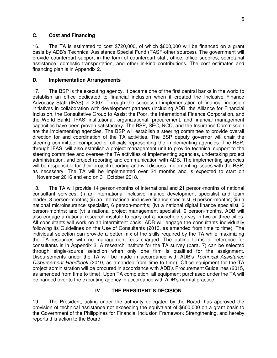#### **C. Cost and Financing**

16. The TA is estimated to cost \$720,000, of which \$600,000 will be financed on a grant basis by ADB's Technical Assistance Special Fund (TASF-other sources). The government will provide counterpart support in the form of counterpart staff, office, office supplies, secretarial assistance, domestic transportation, and other in-kind contributions. The cost estimates and financing plan is in Appendix 2.

#### **D. Implementation Arrangements**

17. The BSP is the executing agency. It became one of the first central banks in the world to establish an office dedicated to financial inclusion when it created the Inclusive Finance Advocacy Staff (IFAS) in 2007. Through the successful implementation of financial inclusion initiatives in collaboration with development partners (including ADB, the Alliance for Financial Inclusion, the Consultative Group to Assist the Poor, the International Finance Corporation, and the World Bank), IFAS' institutional, organizational, procurement, and financial management capacities have been proven satisfactory. The BSP, SEC, NCC, and the Insurance Commission are the implementing agencies. The BSP will establish a steering committee to provide overall direction for and coordination of the TA activities. The BSP deputy governor will chair the steering committee, composed of officials representing the implementing agencies. The BSP, through IFAS, will also establish a project management unit to provide technical support to the steering committee and oversee the TA activities of implementing agencies, undertaking project administration, and project reporting and communication with ADB. The implementing agencies will be responsible for their project reporting and will discuss implementing issues with the BSP, as necessary. The TA will be implemented over 24 months and is expected to start on 1 November 2016 and end on 31 October 2018.

18. The TA will provide 14 person-months of international and 21 person-months of national consultant services: (i) an international inclusive finance development specialist and team leader, 8 person-months; (ii) an international inclusive finance specialist, 6 person-months; (iii) a national microinsurance specialist, 6 person-months; (iv) a national digital finance specialist, 6 person-months; and (v) a national project management specialist, 9 person-months. ADB will also engage a national research institute to carry out a household survey in two or three cities. All consultants will work on an intermittent basis. ADB will engage the consultants individually following its Guidelines on the Use of Consultants (2013, as amended from time to time). The individual selection can provide a better mix of the skills required by the TA while maximizing the TA resources with no management fees charged. The outline terms of reference for consultants is in Appendix 3. A research institute for the TA survey (para. 7) can be selected through single-source selection when only one firm is qualified for the assignment. Disbursements under the TA will be made in accordance with ADB's *Technical Assistance Disbursement Handbook* (2010, as amended from time to time). Office equipment for the TA project administration will be procured in accordance with ADB's Procurement Guidelines (2015, as amended from time to time). Upon TA completion, all equipment purchased under the TA will be handed over to the executing agency in accordance with ADB's normal practice.

#### **IV. THE PRESIDENT'S DECISION**

19. The President, acting under the authority delegated by the Board, has approved the provision of technical assistance not exceeding the equivalent of \$600,000 on a grant basis to the Government of the Philippines for Financial Inclusion Framework Strengthening, and hereby reports this action to the Board.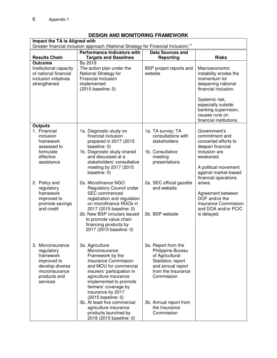# **DESIGN AND MONITORING FRAMEWORK**

| Impact the TA is Aligned with<br>Greater financial inclusion approach (National Strategy for Financial Inclusion) <sup>a</sup> |                                                                                                                                                                                                                                                                                                                                                                                |                                                                                                                                                                                                     |                                                                                                                                                                                                                    |
|--------------------------------------------------------------------------------------------------------------------------------|--------------------------------------------------------------------------------------------------------------------------------------------------------------------------------------------------------------------------------------------------------------------------------------------------------------------------------------------------------------------------------|-----------------------------------------------------------------------------------------------------------------------------------------------------------------------------------------------------|--------------------------------------------------------------------------------------------------------------------------------------------------------------------------------------------------------------------|
|                                                                                                                                | <b>Performance Indicators with</b><br><b>Data Sources and</b>                                                                                                                                                                                                                                                                                                                  |                                                                                                                                                                                                     |                                                                                                                                                                                                                    |
| <b>Results Chain</b>                                                                                                           | <b>Targets and Baselines</b>                                                                                                                                                                                                                                                                                                                                                   | <b>Reporting</b>                                                                                                                                                                                    | <b>Risks</b>                                                                                                                                                                                                       |
| <b>Outcome</b><br>Institutional capacity<br>of national financial<br>inclusion initiatives<br>strengthened                     | By 2019<br>The action plan under the<br>National Strategy for<br><b>Financial Inclusion</b><br>implemented<br>(2015 baseline: 0)                                                                                                                                                                                                                                               | BSP project reports and<br>website                                                                                                                                                                  | Macroeconomic<br>instability erodes the<br>momentum for<br>deepening national<br>financial inclusion.<br>Systemic risk,<br>especially outside<br>banking supervision,<br>causes runs on<br>financial institutions. |
| <b>Outputs</b><br>1. Financial<br>inclusion<br>framework<br>assessed to<br>formulate<br>effective<br>assistance                | 1a. Diagnostic study on<br>financial inclusion<br>prepared in 2017 (2015<br>baseline: 0)<br>1b. Diagnostic study shared<br>and discussed at a<br>stakeholders' consultative<br>meeting by 2017 (2015<br>baseline: 0)                                                                                                                                                           | 1a. TA survey; TA<br>consultations with<br>stakeholders<br>1b. Consultative<br>meeting<br>presentations                                                                                             | Government's<br>commitment and<br>concerted efforts to<br>deepen financial<br>inclusion are<br>weakened.<br>A political movement<br>against market-based<br>financial operations                                   |
| 2. Policy and<br>regulatory<br>framework<br>improved to<br>promote savings<br>and credit                                       | 2a. Microfinance NGO<br><b>Regulatory Council under</b><br><b>SEC</b> commenced<br>registration and regulation<br>on microfinance NGOs in<br>2017 (2015 baseline: 0)<br>2b. New BSP circulars issued<br>to promote value chain<br>financing products by<br>2017 (2015 baseline: 0)                                                                                             | 2a. SEC official gazette<br>and website<br>2b. BSP website                                                                                                                                          | arises.<br>Agreement between<br>DOF and/or the<br>Insurance Commission<br>and DOA and/or PCIC<br>is delayed.                                                                                                       |
| 3. Microinsurance<br>regulatory<br>framework<br>improved to<br>develop diverse<br>microinsurance<br>products and<br>services   | 3a. Agriculture<br>Microinsurance<br>Framework by the<br><b>Insurance Commission</b><br>and MOU for commercial<br>insurers' participation in<br>agriculture insurance<br>implemented to promote<br>farmers' coverage by<br>insurance by 2017<br>(2015 baseline: 0)<br>3b. At least five commercial<br>agriculture insurance<br>products launched by<br>2018 (2015 baseline: 0) | 3a. Report from the<br>Philippine Bureau<br>of Agricultural<br>Statistics; report<br>and annual report<br>from the Insurance<br>Commission<br>3b. Annual report from<br>the Insurance<br>Commission |                                                                                                                                                                                                                    |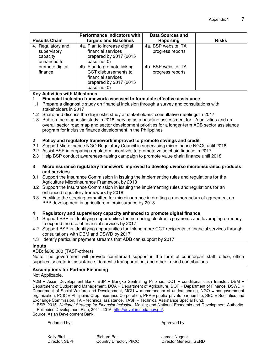| <b>Results Chain</b>                                                                                                                                                               | <b>Performance Indicators with</b><br><b>Targets and Baselines</b>                                                                                    | <b>Data Sources and</b><br><b>Reporting</b> | <b>Risks</b> |
|------------------------------------------------------------------------------------------------------------------------------------------------------------------------------------|-------------------------------------------------------------------------------------------------------------------------------------------------------|---------------------------------------------|--------------|
| 4. Regulatory and                                                                                                                                                                  | 4a. Plan to increase digital                                                                                                                          | 4a. BSP website; TA                         |              |
| supervisory                                                                                                                                                                        | financial services                                                                                                                                    | progress reports                            |              |
| capacity                                                                                                                                                                           | prepared by 2017 (2015                                                                                                                                |                                             |              |
| enhanced to                                                                                                                                                                        | baseline: 0)                                                                                                                                          |                                             |              |
| promote digital                                                                                                                                                                    | 4b. Plan to promote linking                                                                                                                           | 4b. BSP website; TA                         |              |
| finance                                                                                                                                                                            | CCT disbursements to                                                                                                                                  | progress reports                            |              |
|                                                                                                                                                                                    | financial services                                                                                                                                    |                                             |              |
|                                                                                                                                                                                    | prepared by 2017 (2015                                                                                                                                |                                             |              |
|                                                                                                                                                                                    | baseline: 0)                                                                                                                                          |                                             |              |
| <b>Key Activities with Milestones</b>                                                                                                                                              |                                                                                                                                                       |                                             |              |
| 1.                                                                                                                                                                                 | Financial inclusion framework assessed to formulate effective assistance                                                                              |                                             |              |
|                                                                                                                                                                                    | 1.1 Prepare a diagnostic study on financial inclusion through a survey and consultations with                                                         |                                             |              |
| stakeholders in 2017                                                                                                                                                               |                                                                                                                                                       |                                             |              |
|                                                                                                                                                                                    | 1.2 Share and discuss the diagnostic study at stakeholders' consultative meetings in 2017                                                             |                                             |              |
|                                                                                                                                                                                    | 1.3 Publish the diagnostic study in 2018, serving as a baseline assessment for TA activities and an                                                   |                                             |              |
|                                                                                                                                                                                    | overall sector road map and sector development priorities for a longer-term ADB sector assistance                                                     |                                             |              |
|                                                                                                                                                                                    | program for inclusive finance development in the Philippines                                                                                          |                                             |              |
| $\mathbf{2}$                                                                                                                                                                       | Policy and regulatory framework improved to promote savings and credit                                                                                |                                             |              |
| 2.1                                                                                                                                                                                | Support Microfinance NGO Regulatory Council in supervising microfinance NGOs until 2018                                                               |                                             |              |
|                                                                                                                                                                                    | 2.2 Assist BSP in preparing regulatory incentives to promote value chain finance in 2017                                                              |                                             |              |
| 2.3                                                                                                                                                                                | Help BSP conduct awareness-raising campaign to promote value chain finance until 2018                                                                 |                                             |              |
|                                                                                                                                                                                    |                                                                                                                                                       |                                             |              |
| 3                                                                                                                                                                                  | Microinsurance regulatory framework improved to develop diverse microinsurance products                                                               |                                             |              |
|                                                                                                                                                                                    | and services<br>3.1 Support the Insurance Commission in issuing the implementing rules and regulations for the                                        |                                             |              |
|                                                                                                                                                                                    | Agriculture Microinsurance Framework by 2018                                                                                                          |                                             |              |
|                                                                                                                                                                                    |                                                                                                                                                       |                                             |              |
|                                                                                                                                                                                    | 3.2 Support the Insurance Commission in issuing the implementing rules and regulations for an<br>enhanced regulatory framework by 2018                |                                             |              |
|                                                                                                                                                                                    | 3.3 Facilitate the steering committee for microinsurance in drafting a memorandum of agreement on                                                     |                                             |              |
|                                                                                                                                                                                    | PPP development in agriculture microinsurance by 2018                                                                                                 |                                             |              |
|                                                                                                                                                                                    |                                                                                                                                                       |                                             |              |
| Regulatory and supervisory capacity enhanced to promote digital finance<br>4<br>Support BSP in identifying opportunities for increasing electronic payments and leveraging e-money |                                                                                                                                                       |                                             |              |
| 4.1                                                                                                                                                                                |                                                                                                                                                       |                                             |              |
|                                                                                                                                                                                    | to expand the use of financial services by 2017                                                                                                       |                                             |              |
|                                                                                                                                                                                    | 4.2 Support BSP in identifying opportunities for linking more CCT recipients to financial services through<br>consultations with DBM and DSWD by 2017 |                                             |              |
| Identify particular payment streams that ADB can support by 2017<br>4.3                                                                                                            |                                                                                                                                                       |                                             |              |
| <b>Inputs</b>                                                                                                                                                                      |                                                                                                                                                       |                                             |              |
| ADB: \$600,000 (TASF-others)                                                                                                                                                       |                                                                                                                                                       |                                             |              |
| Note: The government will provide counterpart support in the form of counterpart staff, office, office                                                                             |                                                                                                                                                       |                                             |              |
| supplies, secretarial assistance, domestic transportation, and other in-kind contributions.                                                                                        |                                                                                                                                                       |                                             |              |
|                                                                                                                                                                                    |                                                                                                                                                       |                                             |              |
| <b>Assumptions for Partner Financing</b><br>Not Applicable.                                                                                                                        |                                                                                                                                                       |                                             |              |
|                                                                                                                                                                                    | $ADB = Asian Development Bank, BSP = Bangko Sentral ng Pilipinas, CCT = conditional cash transfer, DBM =$                                             |                                             |              |
|                                                                                                                                                                                    | Department of Budget and Management, $DOA = Department of Agriculture DOF = Department of Finance DSWD =$                                             |                                             |              |

Department of Budget and Management, DOA = Department of Agriculture, DOF = Department of Finance, DSWD = Department of Social Welfare and Development, MOU = memorandum of understanding, NGO = nongovernment organization, PCIC = Philippine Crop Insurance Corporation, PPP = public–private partnership, SEC = Securities and Exchange Commission, TA = technical assistance, TASF = Technical Assistance Special Fund.

a BSP. 2015. *National Strategy for Financial Inclusion.* Manila; and National Economic and Development Authority. Philippine Development Plan, 2011–2016[. http://devplan.neda.gov.ph/.](http://devplan.neda.gov.ph/)

Source: Asian Development Bank.

Endorsed by:  $\blacksquare$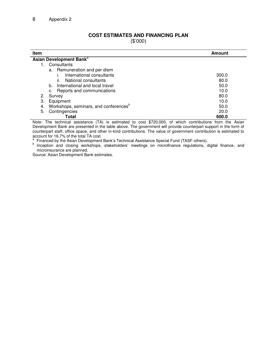#### **COST ESTIMATES AND FINANCING PLAN**

(\$'000)

| <b>Item</b>                                             | Amount                                                                                                          |  |  |
|---------------------------------------------------------|-----------------------------------------------------------------------------------------------------------------|--|--|
| Asian Development Bank <sup>a</sup>                     |                                                                                                                 |  |  |
| Consultants                                             |                                                                                                                 |  |  |
| a. Remuneration and per diem                            |                                                                                                                 |  |  |
| International consultants                               | 300.0                                                                                                           |  |  |
| National consultants<br>II.                             | 80.0                                                                                                            |  |  |
| International and local travel<br>b.                    | 50.0                                                                                                            |  |  |
| Reports and communications<br>с.                        | 10.0                                                                                                            |  |  |
| Survey<br>2.                                            | 80.0                                                                                                            |  |  |
| 3.<br>Equipment                                         | 10.0                                                                                                            |  |  |
| Workshops, seminars, and conferences <sup>o</sup><br>4. | 50.0                                                                                                            |  |  |
| Contingencies<br>5.                                     | 20.0                                                                                                            |  |  |
| Total                                                   | 600.0                                                                                                           |  |  |
|                                                         | Note: The technical conjetence $(T_A)$ is estimated to seet $^{6700,000}$ of which contributions from the Acion |  |  |

Note: The technical assistance (TA) is estimated to cost \$720,000, of which contributions from the Asian Development Bank are presented in the table above. The government will provide counterpart support in the form of counterpart staff, office space, and other in-kind contributions. The value of government contribution is estimated to account for 16.7% of the total TA cost.<br>a. Einensed by the Asian Dovelopment

Financed by the Asian Development Bank's Technical Assistance Special Fund (TASF-others).

<sup>b</sup> Inception and closing workshops, stakeholders' meetings on microfinance regulations, digital finance, and microinsurance are planned.

Source: Asian Development Bank estimates.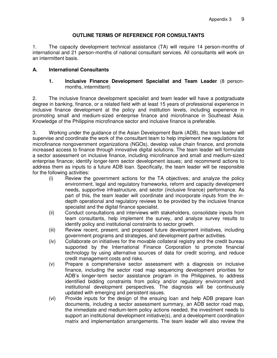#### **OUTLINE TERMS OF REFERENCE FOR CONSULTANTS**

1. The capacity development technical assistance (TA) will require 14 person-months of international and 21 person-months of national consultant services. All consultants will work on an intermittent basis.

#### **A. International Consultants**

#### **1. Inclusive Finance Development Specialist and Team Leader** (8 personmonths, intermittent)

2. The inclusive finance development specialist and team leader will have a postgraduate degree in banking, finance, or a related field with at least 15 years of professional experience in inclusive finance development at the policy and institution levels, including experience in promoting small and medium-sized enterprise finance and microfinance in Southeast Asia. Knowledge of the Philippine microfinance sector and inclusive finance is preferable.

3. Working under the guidance of the Asian Development Bank (ADB), the team leader will supervise and coordinate the work of the consultant team to help implement new regulations for microfinance nongovernment organizations (NGOs), develop value chain finance, and promote increased access to finance through innovative digital solutions. The team leader will formulate a sector assessment on inclusive finance, including microfinance and small and medium-sized enterprise finance; identify longer-term sector development issues; and recommend actions to address them as inputs to a future ADB loan. Specifically, the team leader will be responsible for the following activities:

- (i) Review the government actions for the TA objectives; and analyze the policy environment, legal and regulatory frameworks, reform and capacity development needs, supportive infrastructure, and sector (inclusive finance) performance. As part of this, the team leader will coordinate and incorporate inputs from the indepth operational and regulatory reviews to be provided by the inclusive finance specialist and the digital finance specialist.
- (ii) Conduct consultations and interviews with stakeholders, consolidate inputs from team consultants, help implement the survey, and analyze survey results to identify policy and institutional constraints to sector growth.
- (iii) Review recent, present, and proposed future development initiatives, including government programs and strategies, and development partner activities.
- (iv) Collaborate on initiatives for the movable collateral registry and the credit bureau supported by the International Finance Corporation to promote financial technology by using alternative sources of data for credit scoring, and reduce credit management costs and risks.
- (v) Prepare a comprehensive sector assessment with a diagnosis on inclusive finance, including the sector road map sequencing development priorities for ADB's longer-term sector assistance program in the Philippines, to address identified bidding constraints from policy and/or regulatory environment and institutional development perspectives. The diagnosis will be continuously updated with emerging and persistent issues.
- (vi) Provide inputs for the design of the ensuing loan and help ADB prepare loan documents, including a sector assessment summary, an ADB sector road map, the immediate and medium-term policy actions needed, the investment needs to support an institutional development initiative(s), and a development coordination matrix and implementation arrangements. The team leader will also review the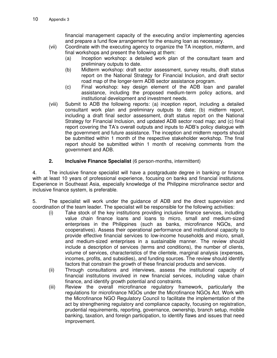financial management capacity of the executing and/or implementing agencies and prepare a fund flow arrangement for the ensuing loan as necessary.

- (vii) Coordinate with the executing agency to organize the TA inception, midterm, and final workshops and present the following at them:
	- (a) Inception workshop: a detailed work plan of the consultant team and preliminary outputs to date.
	- (b) Midterm workshop: draft sector assessment, survey results, draft status report on the National Strategy for Financial Inclusion, and draft sector road map of the longer-term ADB sector assistance program.
	- (c) Final workshop: key design element of the ADB loan and parallel assistance, including the proposed medium-term policy actions, and institutional development and investment needs.
- (viii) Submit to ADB the following reports: (a) inception report, including a detailed consultant work plan and preliminary outputs to date; (b) midterm report, including a draft final sector assessment, draft status report on the National Strategy for Financial Inclusion, and updated ADB sector road map; and (c) final report covering the TA's overall outputs and inputs to ADB's policy dialogue with the government and future assistance. The inception and midterm reports should be submitted within 1 month of the respective stakeholder workshop. The final report should be submitted within 1 month of receiving comments from the government and ADB.

#### **2. Inclusive Finance Specialist** (6 person-months, intermittent)

4. The inclusive finance specialist will have a postgraduate degree in banking or finance with at least 10 years of professional experience, focusing on banks and financial institutions. Experience in Southeast Asia, especially knowledge of the Philippine microfinance sector and inclusive finance system, is preferable.

5. The specialist will work under the guidance of ADB and the direct supervision and coordination of the team leader. The specialist will be responsible for the following activities:

- (i) Take stock of the key institutions providing inclusive finance services, including value chain finance loans and loans to micro, small and medium-sized enterprises in the Philippines (such as banks, microfinance NGOs, and cooperatives). Assess their operational performance and institutional capacity to provide effective financial services to low-income households and micro, small, and medium-sized enterprises in a sustainable manner. The review should include a description of services (terms and conditions), the number of clients, volume of services, characteristics of the clientele, marginal analysis (expenses, incomes, profits, and subsidies), and funding sources. The review should identify factors that constrain the growth of these financial products and services.
- (ii) Through consultations and interviews, assess the institutional capacity of financial institutions involved in new financial services, including value chain finance, and identify growth potential and constraints.
- (iii) Review the overall microfinance regulatory framework, particularly the regulations for microfinance NGOs under the Microfinance NGOs Act. Work with the Microfinance NGO Regulatory Council to facilitate the implementation of the act by strengthening regulatory and compliance capacity, focusing on registration, prudential requirements, reporting, governance, ownership, branch setup, mobile banking, taxation, and foreign participation, to identify flaws and issues that need improvement.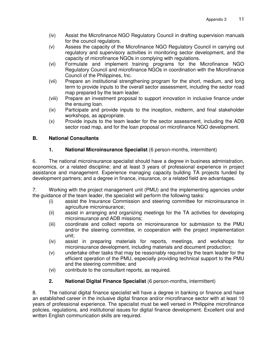- (iv) Assist the Microfinance NGO Regulatory Council in drafting supervision manuals for the council regulators.
- (v) Assess the capacity of the Microfinance NGO Regulatory Council in carrying out regulatory and supervisory activities in monitoring sector development, and the capacity of microfinance NGOs in complying with regulations.
- (vi) Formulate and implement training programs for the Microfinance NGO Regulatory Council and microfinance NGOs in coordination with the Microfinance Council of the Philippines, Inc.
- (vii) Prepare an institutional strengthening program for the short, medium, and long term to provide inputs to the overall sector assessment, including the sector road map prepared by the team leader.
- (viii) Prepare an investment proposal to support innovation in inclusive finance under the ensuing loan.
- (ix) Participate and provide inputs to the inception, midterm, and final stakeholder workshops, as appropriate.
- (x) Provide inputs to the team leader for the sector assessment, including the ADB sector road map, and for the loan proposal on microfinance NGO development.

# **B. National Consultants**

# **1. National Microinsurance Specialist** (6 person-months, intermittent)

6. The national microinsurance specialist should have a degree in business administration, economics, or a related discipline; and at least 3 years of professional experience in project assistance and management. Experience managing capacity building TA projects funded by development partners; and a degree in finance, insurance, or a related field are advantages.

7. Working with the project management unit (PMU) and the implementing agencies under the guidance of the team leader, the specialist will perform the following tasks:

- (i) assist the Insurance Commission and steering committee for microinsurance in agriculture microinsurance;
- (ii) assist in arranging and organizing meetings for the TA activities for developing microinsurance and ADB missions;
- (iii) coordinate and collect reports on microinsurance for submission to the PMU and/or the steering committee, in cooperation with the project implementation unit;
- (iv) assist in preparing materials for reports, meetings, and workshops for microinsurance development, including materials and document production;
- (v) undertake other tasks that may be reasonably required by the team leader for the efficient operation of the PMU, especially providing technical support to the PMU and the steering committee; and
- (vi) contribute to the consultant reports, as required.

# **2. National Digital Finance Specialist** (6 person-months, intermittent)

8. The national digital finance specialist will have a degree in banking or finance and have an established career in the inclusive digital finance and/or microfinance sector with at least 10 years of professional experience. The specialist must be well versed in Philippine microfinance policies, regulations, and institutional issues for digital finance development. Excellent oral and written English communication skills are required.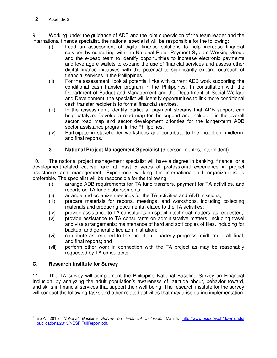9. Working under the guidance of ADB and the joint supervision of the team leader and the international finance specialist, the national specialist will be responsible for the following:

- (i) Lead an assessment of digital finance solutions to help increase financial services by consulting with the National Retail Payment System Working Group and the e-peso team to identify opportunities to increase electronic payments and leverage e-wallets to expand the use of financial services and assess other digital finance initiatives with the potential to significantly expand outreach of financial services in the Philippines.
- (ii) For the assessment, look at potential links with current ADB work supporting the conditional cash transfer program in the Philippines. In consultation with the Department of Budget and Management and the Department of Social Welfare and Development, the specialist will identify opportunities to link more conditional cash transfer recipients to formal financial services.
- (iii) In the assessment, identify particular payment streams that ADB support can help catalyze. Develop a road map for the support and include it in the overall sector road map and sector development priorities for the longer-term ADB sector assistance program in the Philippines.
- (iv) Participate in stakeholder workshops and contribute to the inception, midterm, and final reports.

# **3. National Project Management Specialist** (9 person-months, intermittent)

10. The national project management specialist will have a degree in banking, finance, or a development-related course; and at least 5 years of professional experience in project assistance and management. Experience working for international aid organizations is preferable. The specialist will be responsible for the following:

- (i) arrange ADB requirements for TA fund transfers, payment for TA activities, and reports on TA fund disbursements;
- (ii) arrange and organize meetings for the TA activities and ADB missions;
- (iii) prepare materials for reports, meetings, and workshops, including collecting materials and producing documents related to the TA activities;
- (iv) provide assistance to TA consultants on specific technical matters, as requested;
- (v) provide assistance to TA consultants on administrative matters, including travel and visa arrangements; maintenance of hard and soft copies of files, including for backup; and general office administration;
- (vi) contribute as required to the inception, quarterly progress, midterm, draft final, and final reports; and
- (vii) perform other work in connection with the TA project as may be reasonably requested by TA consultants.

#### **C. Research Institute for Survey**

11. The TA survey will complement the Philippine National Baseline Survey on Financial Inclusion<sup>1</sup> by analyzing the adult population's awareness of, attitude about, behavior toward, and skills in financial services that support their well-being. The research institute for the survey will conduct the following tasks and other related activities that may arise during implementation:

j 1 BSP. 2015. *National Baseline Survey on Financial Inclusion.* Manila. [http://www.bsp.gov.ph/downloads/](http://www.bsp.gov.ph/downloads/publications/2015/NBSFIFullReport.pdf)  [publications/2015/NBSFIFullReport.pdf.](http://www.bsp.gov.ph/downloads/publications/2015/NBSFIFullReport.pdf)